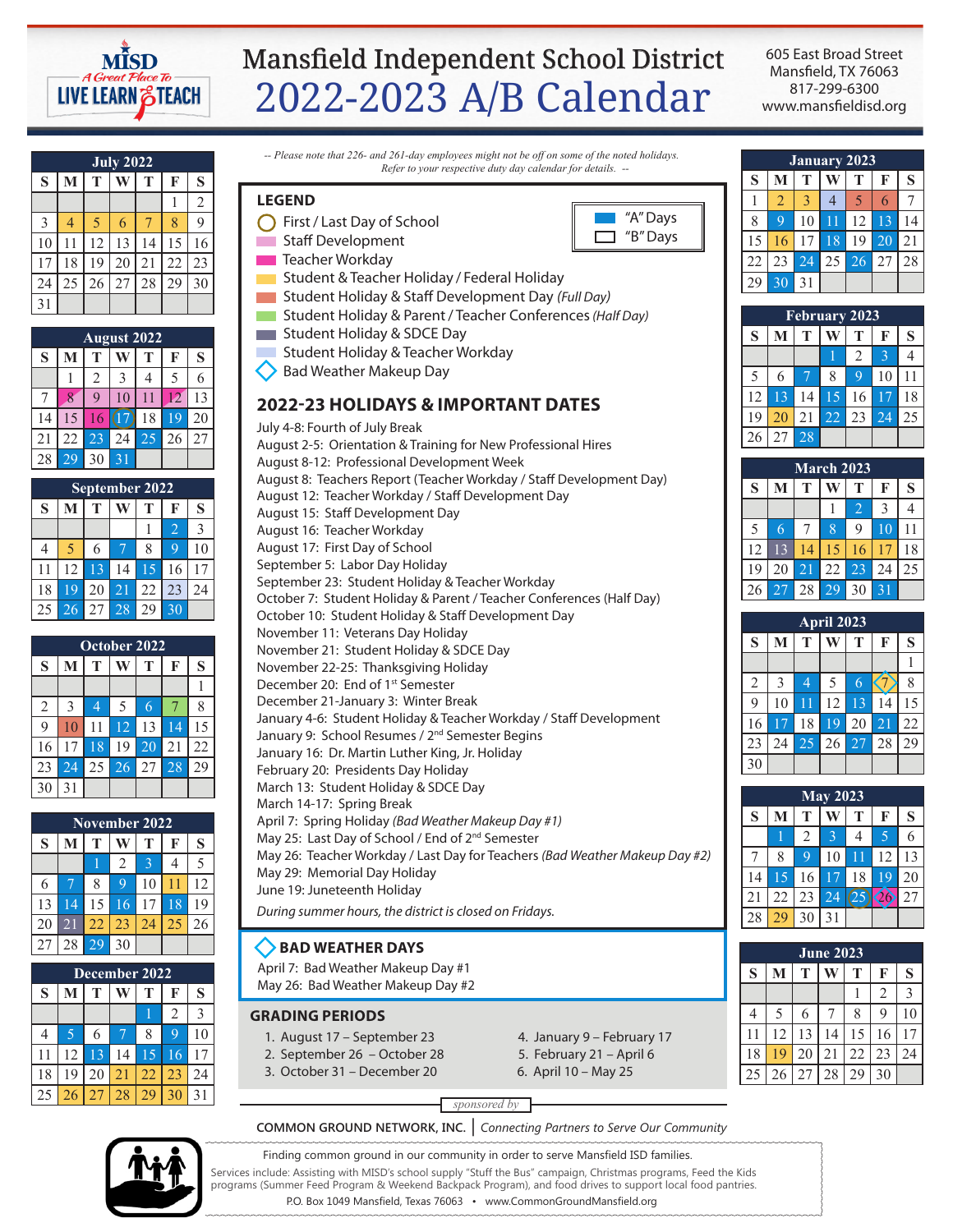

# Mansfield Independent School District 2022-2023 A/B Calendar

605 East Broad Street Mansfield, TX 76063 817-299-6300 www.mansfieldisd.org

| <b>July 2022</b> |    |    |    |    |    |                |  |  |
|------------------|----|----|----|----|----|----------------|--|--|
| S                | M  | T  |    | T  | F  | S              |  |  |
|                  |    |    |    |    |    | $\overline{2}$ |  |  |
| 3                | 4  | 5  | 6  | 7  | 8  | 9              |  |  |
| 10               |    | 12 | 13 | 14 | 15 | 16             |  |  |
| 17               | 18 | 19 | 20 | 21 | 22 | 23             |  |  |
| 24               | 25 | 26 | 27 | 28 | 29 | 30             |  |  |
| 31               |    |    |    |    |    |                |  |  |

| <b>August 2022</b> |    |                 |    |    |    |    |  |  |  |
|--------------------|----|-----------------|----|----|----|----|--|--|--|
| S                  | M  |                 |    | т  | F  | S  |  |  |  |
|                    |    | 2               | 3  |    | 5  | 6  |  |  |  |
|                    | 8  | 9               | 10 |    | 12 | 13 |  |  |  |
| 14                 | 15 | 6               |    | 18 |    | 20 |  |  |  |
| 21                 | 22 | $\overline{2}3$ | 24 | 25 | 26 | 27 |  |  |  |
| 28                 | 29 | 30              | 31 |    |    |    |  |  |  |

|    | <b>September 2022</b> |    |    |    |    |    |  |  |  |
|----|-----------------------|----|----|----|----|----|--|--|--|
| S  | M                     | T  |    | т  | F  | S  |  |  |  |
|    |                       |    |    |    | 2  |    |  |  |  |
| 4  | 5                     | 6  |    | 8  |    | 10 |  |  |  |
|    | 12                    | 3  | 14 | 15 | 16 |    |  |  |  |
| 18 |                       | 20 | 21 | 22 | 23 | 24 |  |  |  |
| 25 | 26                    | 27 | 28 | 29 |    |    |  |  |  |

| October 2022   |    |    |    |    |    |    |  |  |
|----------------|----|----|----|----|----|----|--|--|
| S              | M  | T  | W  | T  | F  | S  |  |  |
|                |    |    |    |    |    |    |  |  |
| $\overline{2}$ | 3  | 4  | 5  | 6  |    | 8  |  |  |
| 9              | 10 |    | 12 | 13 | 14 | 15 |  |  |
| 16             | 17 | 18 | 19 | 20 | 21 | 22 |  |  |
| 23             | 24 | 25 | 26 | 27 | 28 | 29 |  |  |
|                | 31 |    |    |    |    |    |  |  |

| November 2022 |    |    |    |    |    |    |  |  |
|---------------|----|----|----|----|----|----|--|--|
| S             | M  | T  |    | т  | F  | S  |  |  |
|               |    |    | 2  | 3  | 4  |    |  |  |
| 6             |    | 8  |    | 10 |    | 12 |  |  |
| 13            | 14 | 15 | 16 | 17 | 18 | 19 |  |  |
| 20            | 21 | 22 | 23 | 24 | 25 | 26 |  |  |
| 27            | 28 | 29 | 30 |    |    |    |  |  |

| December 2022 |    |    |    |    |    |              |  |
|---------------|----|----|----|----|----|--------------|--|
| S             | M  | т  |    | т  | F  | S            |  |
|               |    |    |    |    | 2  | $\mathbf{R}$ |  |
|               | 6  | 6  |    | 8  | g  |              |  |
|               | 12 | 13 | 14 | 15 | 6  |              |  |
| 18            | 19 | 20 | 21 | 22 | 23 | 24           |  |
| 25            | 26 | 27 | 28 | 29 |    | 31           |  |

*-- Please note that 226- and 261-day employees might not be off on some of the noted holidays. Refer to your respective duty day calendar for details. --*

**LEGEND** ◯ First / Last Day of School Staff Development **Teacher Workday** Student & Teacher Holiday / Federal Holiday Student Holiday & Staff Development Day *(Full Day)*  Student Holiday & Parent/ Teacher Conferences *(Half Day)* **Student Holiday & SDCE Day Student Holiday & Teacher Workday** Bad Weather Makeup Day **2022-23 HOLIDAYS & IMPORTANT DATES** July 4-8: Fourth of July Break August 2-5: Orientation & Training for New Professional Hires August 8-12: Professional Development Week August 8: Teachers Report (Teacher Workday / Staff Development Day) August 12: Teacher Workday / Staff Development Day August 15: Staff Development Day August 16: Teacher Workday August 17: First Day of School September 5: Labor Day Holiday September 23: Student Holiday & Teacher Workday October 7: Student Holiday & Parent / Teacher Conferences (Half Day) October 10: Student Holiday & Staff Development Day November 11: Veterans Day Holiday November 21: Student Holiday & SDCE Day November 22-25: Thanksgiving Holiday December 20: End of 1<sup>st</sup> Semester December 21-January 3: Winter Break January 4-6: Student Holiday & Teacher Workday / Staff Development January 9: School Resumes / 2<sup>nd</sup> Semester Begins January 16: Dr. Martin Luther King, Jr. Holiday February 20: Presidents Day Holiday March 13: Student Holiday & SDCE Day March 14-17: Spring Break April 7: Spring Holiday *(Bad Weather Makeup Day #1)* May 25: Last Day of School / End of 2<sup>nd</sup> Semester May 26: Teacher Workday / Last Day for Teachers *(Bad Weather Makeup Day #2)* May 29: Memorial Day Holiday June 19: Juneteenth Holiday *During summer hours, the district is closed on Fridays.*  **BAD WEATHER DAYS**

#### April 7: Bad Weather Makeup Day #1 May 26: Bad Weather Makeup Day #2

### **GRADING PERIODS**

- 1. August 17 September 23 4. January 9 February 17
- 2. September 26 October 28 5. February 21 April 6
- 3. October 31 December 20 6. April 10 May 25



**January 2023**  $S$  **M**  $T$  **W**  $T$  **F**  $S$ 1 2 3 4 5 6 7 8 9 10 11 12 13 14 15 16 17 18 19 20 21 22 23 24 25 26 27 28 29 30 31

|    | <b>February 2023</b> |    |    |    |    |    |  |  |  |
|----|----------------------|----|----|----|----|----|--|--|--|
| S  | M                    | T  |    | т  | F  | S  |  |  |  |
|    |                      |    |    | 2  | 3  |    |  |  |  |
| 5  | 6                    |    | 8  | q  | 10 |    |  |  |  |
| 12 | 13                   | 14 | 15 | 16 |    | 18 |  |  |  |
| 19 | 20                   | 21 | 22 | 23 | 24 | 25 |  |  |  |
| 26 | 27                   | 28 |    |    |    |    |  |  |  |

|    | March 2023 |    |    |    |    |    |  |  |  |
|----|------------|----|----|----|----|----|--|--|--|
| S  | M          | т  |    | т  | F  | S  |  |  |  |
|    |            |    |    | 2  | 3  |    |  |  |  |
| 5  |            |    | 8  | 9  |    |    |  |  |  |
| 12 | 13         | 14 | 15 | 16 |    | 18 |  |  |  |
| 19 | 20         | 21 | 22 | 23 | 24 | 25 |  |  |  |
| 26 | 27         | 28 | 29 | 30 | 31 |    |  |  |  |

| April 2023 |                         |                |    |    |    |    |  |
|------------|-------------------------|----------------|----|----|----|----|--|
| S          | M                       | T              |    | T  | F  | S  |  |
|            |                         |                |    |    |    |    |  |
| 2          | $\overline{\mathbf{3}}$ | $\overline{4}$ | 5  | 6  |    | 8  |  |
| 9          | 10                      |                | 12 | 13 | 14 | 15 |  |
| 16         | 17                      | 18             | 19 | 20 | 21 | 22 |  |
| 23         | 24                      | 25             | 26 | 27 | 28 | 29 |  |
|            |                         |                |    |    |    |    |  |

| <b>May 2023</b> |    |    |    |    |    |    |  |
|-----------------|----|----|----|----|----|----|--|
| S               |    |    |    |    | F  | S  |  |
|                 |    | 2  |    |    |    |    |  |
|                 | 8  |    | 10 |    | 12 | 13 |  |
| 14              | 15 | 16 |    | 18 |    |    |  |
| 21              | 22 | 23 | 24 |    |    |    |  |
| 28              |    | 30 | 31 |    |    |    |  |

| <b>June 2023</b> |                  |    |    |    |    |    |  |  |  |
|------------------|------------------|----|----|----|----|----|--|--|--|
| S                | T<br>M<br>т<br>F |    |    |    |    |    |  |  |  |
|                  |                  |    |    |    | 2  |    |  |  |  |
|                  | 5                | 6  |    | 8  | 9  | 10 |  |  |  |
|                  | 12               | 13 | 14 | 15 | 16 |    |  |  |  |
| 18               | 19               | 20 | 21 | 22 | 23 | 24 |  |  |  |
| 25               | 26               | 27 | 28 | 29 | 30 |    |  |  |  |

*sponsored by*

**COMMON GROUND NETWORK, INC. |** *Connecting Partners to Serve Our Community*



Finding common ground in our community in order to serve Mansfield ISD families.

Services include: Assisting with MISD's school supply "Stuff the Bus" campaign, Christmas programs, Feed the Kids programs (Summer Feed Program & Weekend Backpack Program), and food drives to support local food pantries.

P.O. Box 1049 Mansfield, Texas 76063 • www.CommonGroundMansfield.org